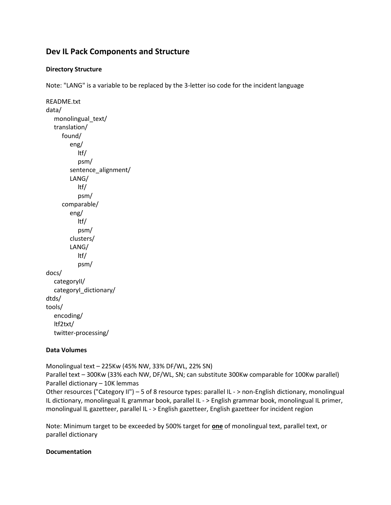## **Dev IL Pack Components and Structure**

## **Directory Structure**

Note: "LANG" is a variable to be replaced by the 3-letter iso code for the incident language

```
README.txt
data/ 
   monolingual_text/ 
   translation/
       found/
          eng/
             ltf/ 
             psm/ 
         sentence_alignment/
          LANG/ 
             ltf/ 
             psm/ 
       comparable/
          eng/
             ltf/
             psm/ 
          clusters/ 
          LANG/ 
             ltf/ 
             psm/ 
docs/ 
   categoryII/ 
   categoryI_dictionary/ 
dtds/ 
tools/
   encoding/ 
   ltf2txt/ 
   twitter-processing/
```
## **Data Volumes**

Monolingual text – 225Kw (45% NW, 33% DF/WL, 22% SN)

Parallel text – 300Kw (33% each NW, DF/WL, SN; can substitute 300Kw comparable for 100Kw parallel) Parallel dictionary – 10K lemmas

Other resources ("Category II") – 5 of 8 resource types: parallel IL - > non-English dictionary, monolingual IL dictionary, monolingual IL grammar book, parallel IL - > English grammar book, monolingual IL primer, monolingual IL gazetteer, parallel IL - > English gazetteer, English gazetteer for incident region

Note: Minimum target to be exceeded by 500% target for **one** of monolingual text, parallel text, or parallel dictionary

## **Documentation**